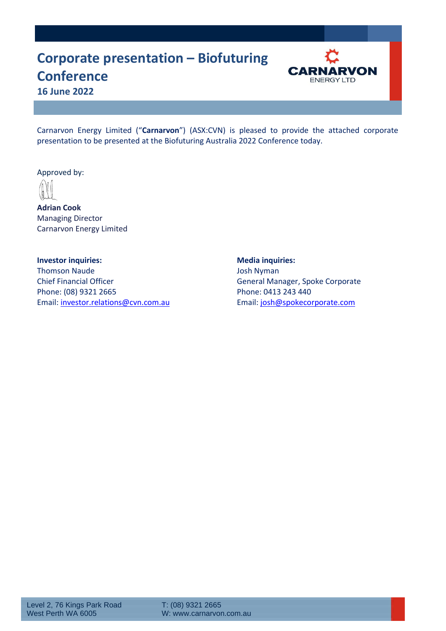#### **Corporate presentation – Biofuturing Conference 16 June 2022**



Carnarvon Energy Limited ("**Carnarvon**") (ASX:CVN) is pleased to provide the attached corporate presentation to be presented at the Biofuturing Australia 2022 Conference today.

Approved by:

**Adrian Cook** Managing Director Carnarvon Energy Limited

**Investor inquiries: Media inquiries:** Thomson Naude **Josh Nyman** Chief Financial Officer **General Manager**, Spoke Corporate Phone: (08) 9321 2665 Phone: 0413 243 440 Email[: investor.relations@cvn.com.au](mailto:investor.relations@cvn.com.au) Email: [josh@spokecorporate.com](mailto:josh@spokecorporate.com)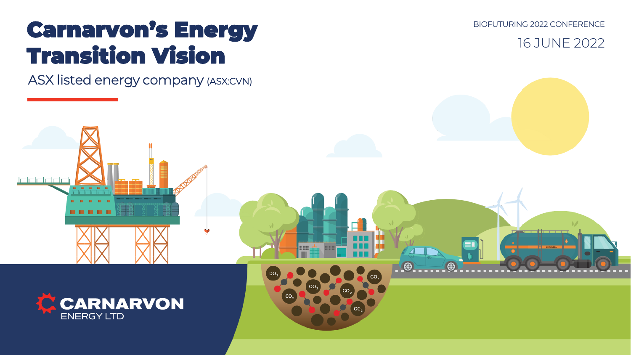# Carnarvon's Energy Transition Vision

ASX listed energy company (ASX:CVN)

BIOFUTURING 2022 CONFERENCE

16 JUNE 2022

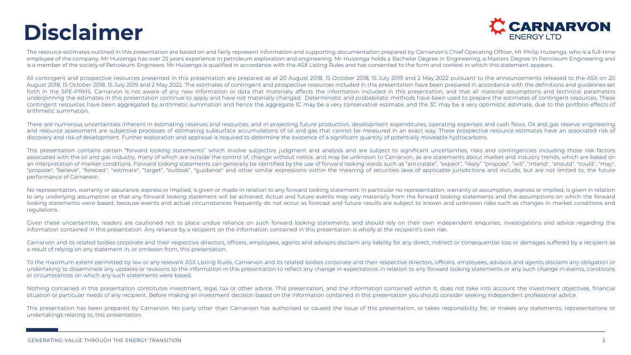## **Disclaimer**



The resource estimates outlined in this presentation are based on and fairly represent information and supporting documentation prepared by Carnarvon's Chief Operating Officer, Mr Philip Huizenga, who is a full-time employee of the company. Mr Huizenga has over 25 years experience in petroleum exploration and engineering. Mr Huizenga holds a Bachelor Degree in Engineering, a Masters Degree in Petroleum Engineering and is a member of the society of Petroleum Engineers. Mr Huizenga is qualified in accordance with the ASX Listing Rules and has consented to the form and context in which this statement appears.

All contingent and prospective resources presented in this presentation are prepared as at 20 August 2018, 15 October 2018, 15 July 2019 and 2 May 2022 pursuant to the announcements released to the ASX on 20 August 2018, 15 October 2018, 15 July 2019 and 2 May 2022. The estimates of contingent and prospective resources included in this presentation have been prepared in accordance with the definitions and guidelines set forth in the SPE-PRMS. Carnarvon is not aware of any new information or data that materially affects the information included in this presentation, and that all material assumptions and technical parameters underpinning the estimates in this presentation continue to apply and have not materially changed. Deterministic and probabilistic methods have been used to prepare the estimates of contingent resources. These contingent resources have been aggregated by arithmetic summation and hence the aggregate 1C may be a very conservative estimate, and the 3C may be a very optimistic estimate, due to the portfolio effects of arithmetic summation.

There are numerous uncertainties inherent in estimating reserves and resources, and in projecting future production, development expenditures, operating expenses and cash flows. Oil and gas reserve engineering and resource assessment are subjective processes of estimating subsurface accumulations of oil and gas that cannot be measured in an exact way. These prospective resource estimates have an associated risk of discovery and risk of development. Further exploration and appraisal is required to determine the existence of a significant quantity of potentially moveable hydrocarbons.

This presentation contains certain "forward looking statements" which involve subjective judgment and analysis and are subject to significant uncertainties, risks and contingencies including those risk factors associated with the oil and gas industry, many of which are outside the control of, change without notice, and may be unknown to Carnarvon, as are statements about market and industry trends, which are based on an interpretation of market conditions. Forward looking statements can generally be identified by the use of forward looking words such as "anticipate", "expect", "likely" "propose", "will", "intend", "should", "could", "m "propose", "believe", "forecast", "estimate", "target", "outlook", "guidance" and other similar expressions within the meaning of securities laws of applicable jurisdictions and include, but are not limited to, the future performance of Carnarvon.

No representation, warranty or assurance, express or implied, is given or made in relation to any forward looking statement. In particular no representation, warranty or assumption, express or implied, is given in relation to any underlying assumption or that any forward looking statement will be achieved. Actual and future events may vary materially from the forward looking statements and the assumptions on which the forward looking statements were based, because events and actual circumstances frequently do not occur as forecast and future results are subject to known and unknown risks such as changes in market conditions and regulations.

Given these uncertainties, readers are cautioned not to place undue reliance on such forward looking statements, and should rely on their own independent enquiries, investigations and advice regarding the information contained in this presentation. Any reliance by a recipient on the information contained in this presentation is wholly at the recipient's own risk.

Carnarvon and its related bodies corporate and their respective directors, officers, employees, agents and advisors disclaim any liability for any direct, indirect or consequential loss or damages suffered by a recipient as a result of relying on any statement in, or omission from, this presentation.

To the maximum extent permitted by law or any relevant ASX Listing Rules, Carnarvon and its related bodies corporate and their respective directors, officers, employees, advisors and agents disclaim any obligation or undertaking to disseminate any updates or revisions to the information in this presentation to reflect any change in expectations in relation to any forward looking statements or any such change in events, conditions or circumstances on which any such statements were based.

Nothing contained in this presentation constitutes investment, legal, tax or other advice. This presentation, and the information contained within it, does not take into account the investment objectives, financial situation or particular needs of any recipient. Before making an investment decision based on the information contained in this presentation you should consider seeking independent professional advice.

This presentation has been prepared by Carnarvon. No party other than Carnarvon has authorised or caused the issue of this presentation, or takes responsibility for, or makes any statements, representations or undertakings relating to, this presentation.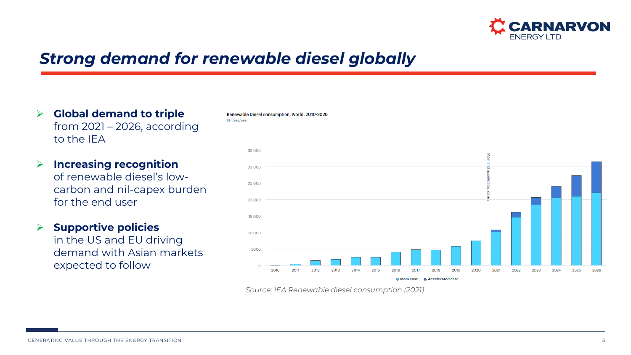

### *Strong demand for renewable diesel globally*

M litres/vear

Renewable Diesel consumption, World, 2010-2026

- ➢ **Global demand to triple**  from 2021 – 2026, according to the IEA
- ➢ **Increasing recognition**  of renewable diesel's lowcarbon and nil-capex burden for the end user
- ➢ **Supportive policies**

in the US and EU driving demand with Asian markets expected to follow



*Source: IEA Renewable diesel consumption (2021)*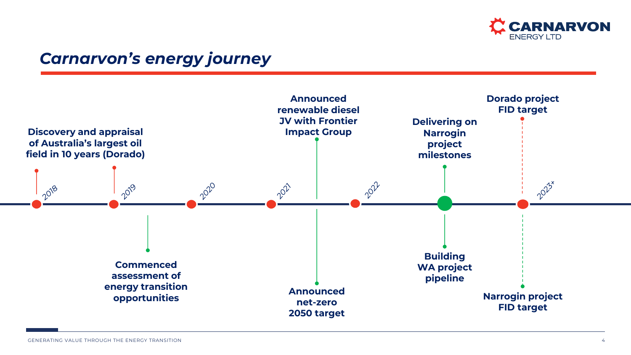

#### *Carnarvon's energy journey*

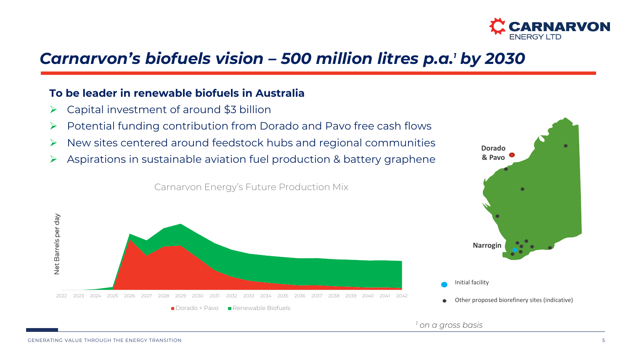

### *Carnarvon's biofuels vision – 500 million litres p.a.<sup>1</sup> by 2030*

#### **To be leader in renewable biofuels in Australia**

- $\triangleright$  Capital investment of around \$3 billion
- ➢ Potential funding contribution from Dorado and Pavo free cash flows
- ➢ New sites centered around feedstock hubs and regional communities
- ➢ Aspirations in sustainable aviation fuel production & battery graphene

Carnarvon Energy's Future Production Mix





*<sup>1</sup> on a gross basis*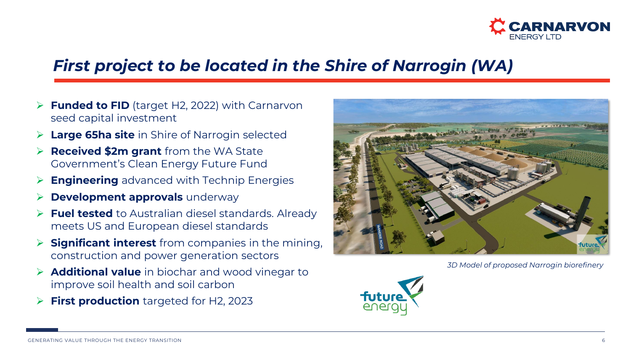

### *First project to be located in the Shire of Narrogin (WA)*

- ➢ **Funded to FID** (target H2, 2022) with Carnarvon seed capital investment
- **Large 65ha site** in Shire of Narrogin selected
- ➢ **Received \$2m grant** from the WA State Government's Clean Energy Future Fund
- **Engineering** advanced with Technip Energies
- **Development approvals** underway
- **Fuel tested** to Australian diesel standards. Already meets US and European diesel standards
- **Significant interest** from companies in the mining, construction and power generation sectors
- ➢ **Additional value** in biochar and wood vinegar to improve soil health and soil carbon
- **First production** targeted for H2, 2023



*3D Model of proposed Narrogin biorefinery*

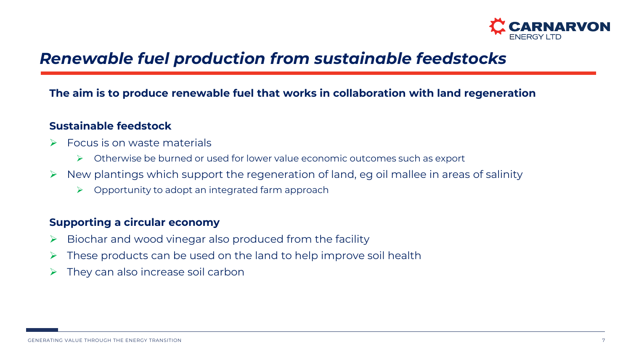

### *Renewable fuel production from sustainable feedstocks*

#### **The aim is to produce renewable fuel that works in collaboration with land regeneration**

#### **Sustainable feedstock**

- ➢ Focus is on waste materials
	- ➢ Otherwise be burned or used for lower value economic outcomes such as export
- $\triangleright$  New plantings which support the regeneration of land, eg oil mallee in areas of salinity
	- $\triangleright$  Opportunity to adopt an integrated farm approach

#### **Supporting a circular economy**

- $\triangleright$  Biochar and wood vinegar also produced from the facility
- These products can be used on the land to help improve soil health
- ➢ They can also increase soil carbon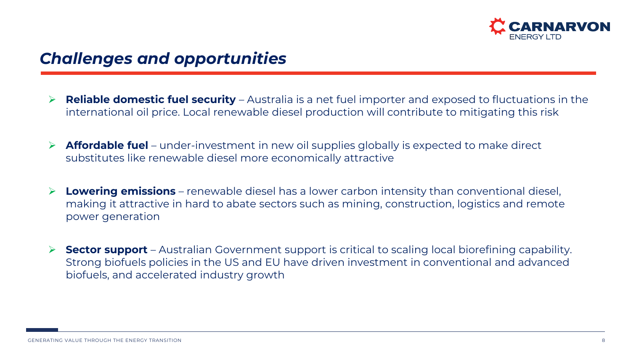

### *Challenges and opportunities*

- ➢ **Reliable domestic fuel security** Australia is a net fuel importer and exposed to fluctuations in the international oil price. Local renewable diesel production will contribute to mitigating this risk
- ➢ **Affordable fuel** under-investment in new oil supplies globally is expected to make direct substitutes like renewable diesel more economically attractive
- **Lowering emissions** renewable diesel has a lower carbon intensity than conventional diesel, making it attractive in hard to abate sectors such as mining, construction, logistics and remote power generation
- ➢ **Sector support**  Australian Government support is critical to scaling local biorefining capability. Strong biofuels policies in the US and EU have driven investment in conventional and advanced biofuels, and accelerated industry growth